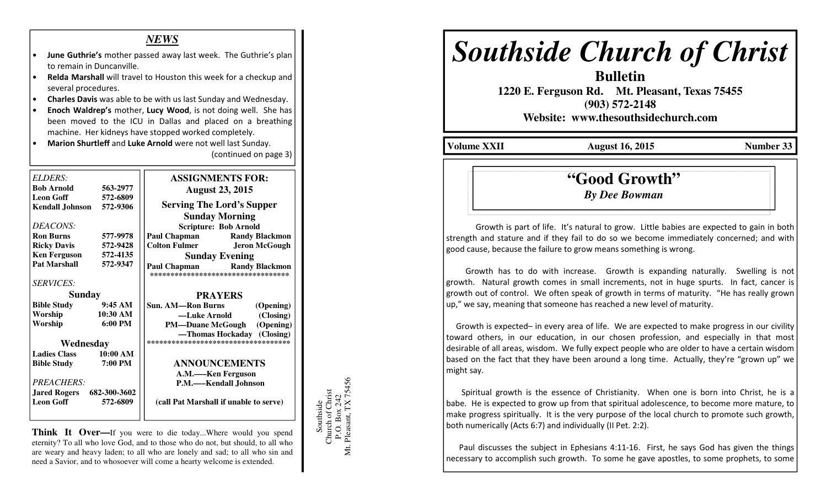### *NEWS*

- June Guthrie's mother passed away last week. The Guthrie's plan to remain in Duncanville.
- Relda Marshall will travel to Houston this week for a checkup andseveral procedures.
- Charles Davis was able to be with us last Sunday and Wednesday.
- Enoch Waldrep's mother, Lucy Wood, is not doing well. She has been moved to the ICU in Dallas and placed on a breathing machine. Her kidneys have stopped worked completely.
- Marion Shurtleff and Luke Arnold were not well last Sunday. (continued on page 3)

| <b>ELDERS:</b>                   |                   | <b>ASSIGNMENTS FOR:</b>                                                           |
|----------------------------------|-------------------|-----------------------------------------------------------------------------------|
| <b>Bob Arnold</b>                | 563-2977          | <b>August 23, 2015</b>                                                            |
| <b>Leon Goff</b>                 | 572-6809          |                                                                                   |
| <b>Kendall Johnson</b>           | 572-9306          | <b>Serving The Lord's Supper</b>                                                  |
|                                  |                   | <b>Sunday Morning</b>                                                             |
| DEACONS:                         |                   | <b>Scripture: Bob Arnold</b>                                                      |
| <b>Ron Burns</b>                 | 577-9978          | <b>Paul Chapman</b> Randy Blackmon                                                |
| <b>Ricky Davis</b>               | 572-9428          | <b>Colton Fulmer</b> Jeron McGough                                                |
| <b>Ken Ferguson</b>              | 572-4135          | <b>Sunday Evening</b>                                                             |
| <b>Pat Marshall</b>              | 572-9347          | <b>Paul Chapman</b><br><b>Randy Blackmon</b><br>********************************* |
| <b>SERVICES:</b>                 |                   |                                                                                   |
| <b>Sunday</b>                    |                   | <b>PRAYERS</b>                                                                    |
| <b>Bible Study</b>               | 9:45AM            | <b>Sun. AM—Ron Burns</b><br>(Opening)                                             |
| Worship                          | 10:30 AM          | (Closing)<br>—Luke Arnold                                                         |
| Worship                          | $6:00 \text{ PM}$ | (Opening)<br><b>PM—Duane McGough</b>                                              |
|                                  |                   | -Thomas Hockaday (Closing)                                                        |
| Wednesday                        |                   | ***********************************                                               |
| <b>Ladies Class</b>              | 10:00 AM          |                                                                                   |
| <b>Bible Study</b>               | 7:00 PM           | <b>ANNOUNCEMENTS</b>                                                              |
|                                  |                   | A.M.-Ken Ferguson                                                                 |
| <b>PREACHERS:</b>                |                   | P.M.—–Kendall Johnson                                                             |
| <b>Jared Rogers</b> 682-300-3602 |                   |                                                                                   |
| <b>Leon Goff</b>                 | 572-6809          | (call Pat Marshall if unable to serve)                                            |
|                                  |                   |                                                                                   |

**Think It Over—**If you were to die today...Where would you spend eternity? To all who love God, and to those who do not, but should, to all who are weary and heavy laden; to all who are lonely and sad; to all who sin and need a Savior, and to whosoever will come a hearty welcome is extended.



# *Southside Church of Christ*

 **1220 E. Ferguson Rd. Mt. Pleasant, Texas 75455 (903) 572-2148** 

**Bulletin** 

**Website: www.thesouthsidechurch.com** 

**Volume XXII August 16, 2015 Number 33** 

## **"Good Growth"***By Dee Bowman*

Growth is part of life. It's natural to grow. Little babies are expected to gain in both strength and stature and if they fail to do so we become immediately concerned; and with good cause, because the failure to grow means something is wrong.

 Growth has to do with increase. Growth is expanding naturally. Swelling is not growth. Natural growth comes in small increments, not in huge spurts. In fact, cancer is growth out of control. We often speak of growth in terms of maturity. "He has really grown up," we say, meaning that someone has reached a new level of maturity.

 Growth is expected– in every area of life. We are expected to make progress in our civility toward others, in our education, in our chosen profession, and especially in that most desirable of all areas, wisdom. We fully expect people who are older to have a certain wisdom based on the fact that they have been around a long time. Actually, they're "grown up" we might say.

 Spiritual growth is the essence of Christianity. When one is born into Christ, he is a babe. He is expected to grow up from that spiritual adolescence, to become more mature, to make progress spiritually. It is the very purpose of the local church to promote such growth, both numerically (Acts 6:7) and individually (II Pet. 2:2).

 Paul discusses the subject in Ephesians 4:11-16. First, he says God has given the things necessary to accomplish such growth. To some he gave apostles, to some prophets, to some